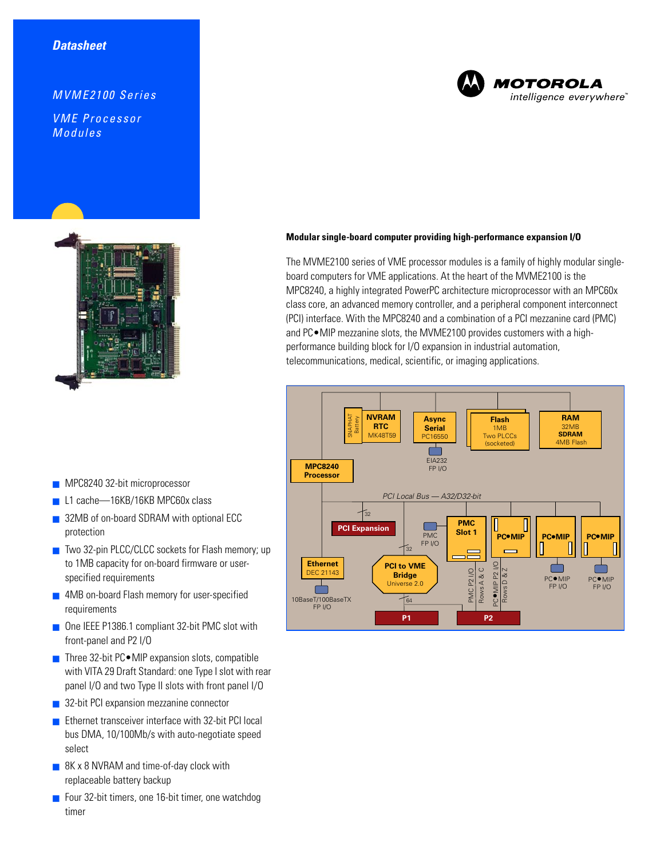# *MVME2100 Series*

*VME Processor Modules*



- MPC8240 32-bit microprocessor
- L1 cache—16KB/16KB MPC60x class
- 32MB of on-board SDRAM with optional ECC protection
- Two 32-pin PLCC/CLCC sockets for Flash memory; up to 1MB capacity for on-board firmware or userspecified requirements
- 4MB on-board Flash memory for user-specified requirements
- One IEEE P1386.1 compliant 32-bit PMC slot with front-panel and P2 I/O
- Three 32-bit PC MIP expansion slots, compatible with VITA 29 Draft Standard: one Type I slot with rear panel I/O and two Type II slots with front panel I/O
- 32-bit PCI expansion mezzanine connector
- Ethernet transceiver interface with 32-bit PCI local bus DMA, 10/100Mb/s with auto-negotiate speed select
- 8K x 8 NVRAM and time-of-day clock with replaceable battery backup
- Four 32-bit timers, one 16-bit timer, one watchdog timer

# **MOTOROLA** intelligence everywhere<sup>®</sup>

### **Modular single-board computer providing high-performance expansion I/O**

The MVME2100 series of VME processor modules is a family of highly modular singleboard computers for VME applications. At the heart of the MVME2100 is the MPC8240, a highly integrated PowerPC architecture microprocessor with an MPC60x class core, an advanced memory controller, and a peripheral component interconnect (PCI) interface. With the MPC8240 and a combination of a PCI mezzanine card (PMC) and PC•MIP mezzanine slots, the MVME2100 provides customers with a highperformance building block for I/O expansion in industrial automation, telecommunications, medical, scientific, or imaging applications.

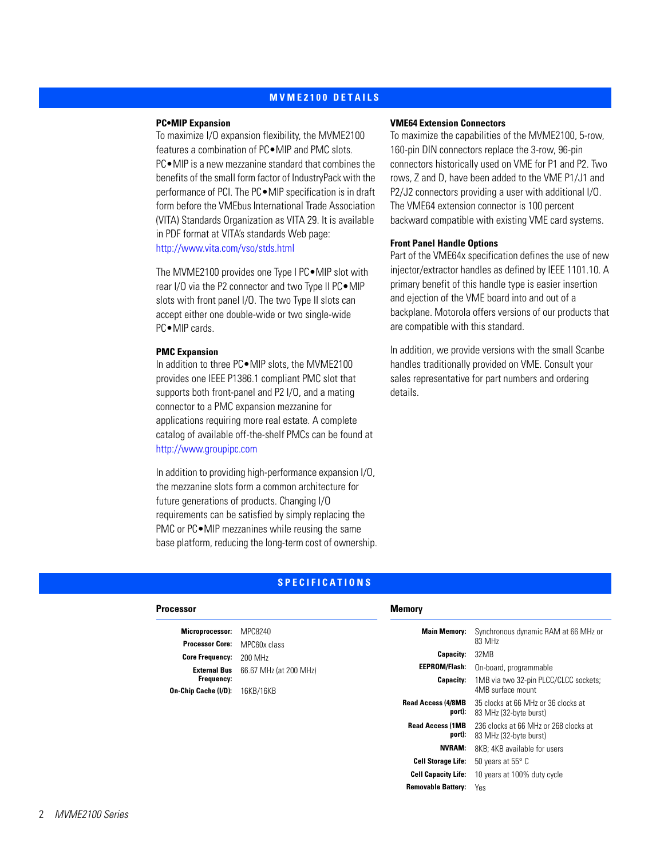## **[MVME2100 DETAILS](#page-1-0)**

#### <span id="page-1-0"></span>**PC•MIP Expansion**

To maximize I/O expansion flexibility, the MVME2100 features a combination of PC●MIP and PMC slots. PC•MIP is a new mezzanine standard that combines the benefits of the small form factor of IndustryPack with the performance of PCI. The PC•MIP specification is in draft form before the VMEbus International Trade Association (VITA) Standards Organization as VITA 29. It is available in PDF format at VITA's standards Web page: <http://www.vita.com/vso/stds.html>

The MVME2100 provides one Type I PC•MIP slot with rear I/O via the P2 connector and two Type II PC•MIP slots with front panel I/O. The two Type II slots can accept either one double-wide or two single-wide PC•MIP cards.

#### **PMC Expansion**

In addition to three PC•MIP slots, the MVME2100 provides one IEEE P1386.1 compliant PMC slot that supports both front-panel and P2 I/O, and a mating connector to a PMC expansion mezzanine for applications requiring more real estate. A complete catalog of available off-the-shelf PMCs can be found at <http://www.groupipc.com>

In addition to providing high-performance expansion I/O, the mezzanine slots form a common architecture for future generations of products. Changing I/O requirements can be satisfied by simply replacing the PMC or PC●MIP mezzanines while reusing the same base platform, reducing the long-term cost of ownership.

#### **VME64 Extension Connectors**

To maximize the capabilities of the MVME2100, 5-row, 160-pin DIN connectors replace the 3-row, 96-pin connectors historically used on VME for P1 and P2. Two rows, Z and D, have been added to the VME P1/J1 and P2/J2 connectors providing a user with additional I/O. The VME64 extension connector is 100 percent backward compatible with existing VME card systems.

### **Front Panel Handle Options**

Part of the VME64x specification defines the use of new injector/extractor handles as defined by IEEE 1101.10. A primary benefit of this handle type is easier insertion and ejection of the VME board into and out of a backplane. Motorola offers versions of our products that are compatible with this standard.

In addition, we provide versions with the small Scanbe handles traditionally provided on VME. Consult your sales representative for part numbers and ordering details.

# **[SPECIFICATIONS](#page-1-1)**

<span id="page-1-1"></span>

| <b>Memory</b>                                                                                        |                                  |
|------------------------------------------------------------------------------------------------------|----------------------------------|
| <b>Main Memory:</b><br>Synchronous dynamic RAM at 66 MHz or                                          |                                  |
|                                                                                                      |                                  |
| <b>Capacity:</b><br>32MB                                                                             |                                  |
| EEPROM/Flash:<br>On-board, programmable                                                              |                                  |
| Capacity:<br>1MB via two 32-pin PLCC/CLCC sockets;                                                   |                                  |
| 4MB surface mount                                                                                    |                                  |
| <b>Read Access (4/8MB</b><br>35 clocks at 66 MHz or 36 clocks at<br>port):<br>83 MHz (32-byte burst) |                                  |
| <b>Read Access (1MB</b><br>236 clocks at 66 MHz or 268 clocks at<br>port):<br>83 MHz (32-byte burst) |                                  |
| <b>NVRAM:</b><br>8KB: 4KB available for users                                                        |                                  |
| <b>Cell Storage Life:</b><br>50 years at $55^{\circ}$ C                                              |                                  |
| <b>Cell Capacity Life:</b><br>10 years at 100% duty cycle                                            |                                  |
| <b>Removable Battery:</b><br>Yes                                                                     |                                  |
|                                                                                                      | 83 MHz<br>66.67 MHz (at 200 MHz) |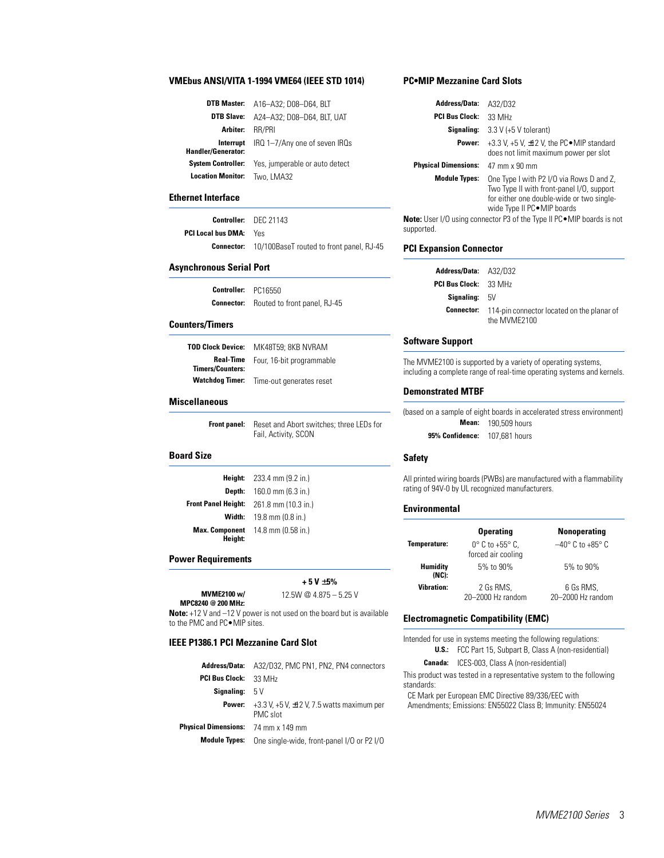#### **VMEbus ANSI/VITA 1-1994 VME64 (IEEE STD 1014)**

|                                 | DTB Master: A16-A32; D08-D64, BLT            |
|---------------------------------|----------------------------------------------|
|                                 | <b>DTB Slave:</b> A24-A32; D08-D64, BLT, UAT |
| Arbiter:                        | RR/PRI                                       |
| Interrupt<br>landler/Generator: | IRQ 1-7/Any one of seven IRQs                |
| System Controller:              | Yes, jumperable or auto detect               |
| <b>Location Monitor:</b>        | Two, LMA32                                   |

#### **Ethernet Interface**

**Handler/Generator:**

|                               | <b>Controller:</b> DEC 21143                               |
|-------------------------------|------------------------------------------------------------|
| <b>PCI Local bus DMA:</b> Yes |                                                            |
|                               | <b>Connector:</b> 10/100BaseT routed to front panel, RJ-45 |

# **Asynchronous Serial Port**

| Controller:       | PC16550                      |
|-------------------|------------------------------|
| <b>Connector:</b> | Routed to front panel, RJ-45 |

#### **Counters/Timers**

| TOD Clock Device:                           | MK48T59; 8KB NVRAM        |
|---------------------------------------------|---------------------------|
| <b>Real-Time</b><br><b>Timers/Counters:</b> | Four, 16-bit programmable |
| <b>Watchdog Timer:</b>                      | Time-out generates reset  |

#### **Miscellaneous**

**Front panel:** Reset and Abort switches; three LEDs for Fail, Activity, SCON

#### **Board Size**

| Height:                    | 233.4 mm (9.2 in.)  |
|----------------------------|---------------------|
| Depth:                     | 160.0 mm (6.3 in.)  |
| <b>Front Panel Height:</b> | 261.8 mm (10.3 in.) |
| Width:                     | 19.8 mm $(0.8$ in.) |
| <b>Max. Component</b>      | 14.8 mm (0.58 in.)  |
| Height:                    |                     |

#### **Power Requirements**

**MVME2100 w/ MPC8240 @ 200 MHz:**

**+ 5 V** ± **5%** 12.5W @ 4.875 – 5.25 V

**Note:** +12 V and –12 V power is not used on the board but is available to the PMC and PC•MIP sites.

#### **IEEE P1386.1 PCI Mezzanine Card Slot**

| Address/Data:                              | A32/D32, PMC PN1, PN2, PN4 connectors                           |
|--------------------------------------------|-----------------------------------------------------------------|
| <b>PCI Bus Clock:</b>                      | 33 MHz                                                          |
| <b>Signaling:</b> $5V$                     |                                                                 |
| Power:                                     | +3.3 V, +5 V, $\pm$ 12 V, 7.5 watts maximum per<br>PMC slot     |
| <b>Physical Dimensions:</b> 74 mm x 149 mm |                                                                 |
|                                            | <b>Module Types:</b> One single-wide, front-panel I/O or P2 I/O |

### **PC•MIP Mezzanine Card Slots**

| <b>Address/Data:</b>        | A32/D32                                                                                                                                                            |
|-----------------------------|--------------------------------------------------------------------------------------------------------------------------------------------------------------------|
| <b>PCI Bus Clock:</b>       | 33 MHz                                                                                                                                                             |
| Signaling:                  | $3.3 V (+5 V tolerant)$                                                                                                                                            |
| Power:                      | +3.3 V, +5 V, $\pm$ 12 V, the PC $\bullet$ MIP standard<br>does not limit maximum power per slot                                                                   |
| <b>Physical Dimensions:</b> | 47 mm x 90 mm                                                                                                                                                      |
| <b>Module Types:</b>        | One Type I with P2 I/O via Rows D and Z,<br>Two Type II with front-panel I/O, support<br>for either one double-wide or two single-<br>wide Type II PC . MIP boards |
|                             | <b>te:</b> User I/O using connector P3 of the Type II PC●MIP boards is not                                                                                         |

**Note:** User I/O using connector P3 of the Type II PC•MIP boards is not supported.

#### **PCI Expansion Connector**

| <b>Address/Data: A32/D32</b> |                                                                              |
|------------------------------|------------------------------------------------------------------------------|
| <b>PCI Bus Clock:</b> 33 MHz |                                                                              |
| <b>Signaling:</b> $5V$       |                                                                              |
|                              | <b>Connector:</b> 114-pin connector located on the planar of<br>the MVME2100 |

#### **Software Support**

The MVME2100 is supported by a variety of operating systems, including a complete range of real-time operating systems and kernels.

#### **Demonstrated MTBF**

(based on a sample of eight boards in accelerated stress environment) **Mean:** 190,509 hours **95% Confidence:** 107,681 hours

#### **Safety**

All printed wiring boards (PWBs) are manufactured with a flammability rating of 94V-0 by UL recognized manufacturers.

#### **Environmental**

|                   | <b>Operating</b>                                         | <b>Nonoperating</b>                 |
|-------------------|----------------------------------------------------------|-------------------------------------|
| Temperature:      | $0^{\circ}$ C to +55 $^{\circ}$ C.<br>forced air cooling | $-40^{\circ}$ C to +85 $^{\circ}$ C |
| Humidity<br>(NC): | 5% to 90%                                                | 5% to 90%                           |
| <b>Vibration:</b> | 2 Gs RMS,<br>20-2000 Hz random                           | 6 Gs RMS,<br>20-2000 Hz random      |

#### **Electromagnetic Compatibility (EMC)**

Intended for use in systems meeting the following regulations:

**U.S.:** FCC Part 15, Subpart B, Class A (non-residential)

**Canada:** ICES-003, Class A (non-residential)

This product was tested in a representative system to the following standards:

CE Mark per European EMC Directive 89/336/EEC with Amendments; Emissions: EN55022 Class B; Immunity: EN55024